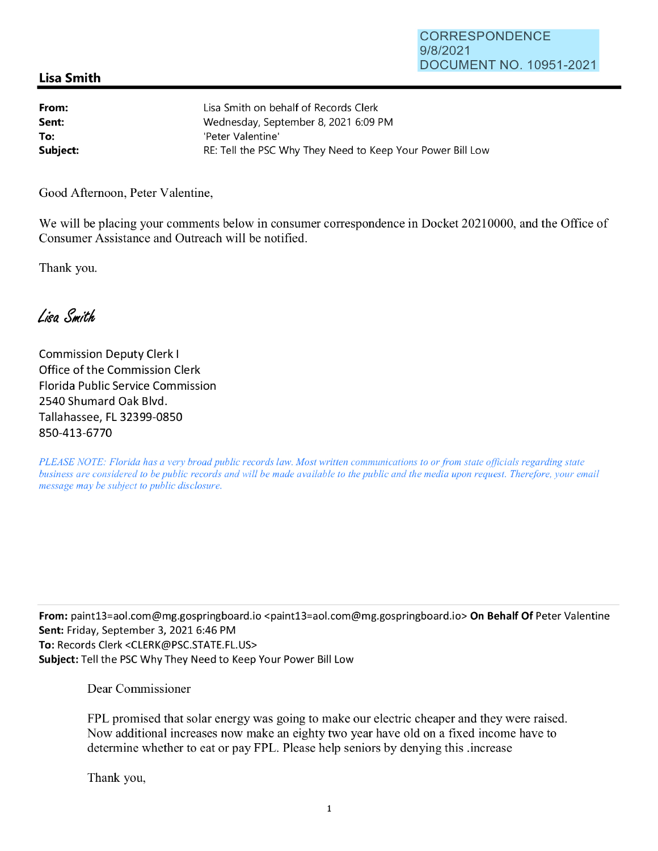## **Lisa Smith**

| From:    | Lisa Smith on behalf of Records Clerk                      |
|----------|------------------------------------------------------------|
| Sent:    | Wednesday, September 8, 2021 6:09 PM                       |
| To:      | 'Peter Valentine'                                          |
| Subject: | RE: Tell the PSC Why They Need to Keep Your Power Bill Low |

Good Afternoon, Peter Valentine,

We will be placing your comments below in consumer correspondence in Docket 20210000, and the Office of Consumer Assistance and Outreach will be notified.

Thank you.

Lisa Smith

Commission Deputy Clerk I Office of the Commission Clerk Florida Public Service Commission 2540 Shumard Oak Blvd. Tallahassee, FL 32399-0850 850-413-6770

*PLEASE NOTE: Florida has a very broad public records law. Most written communications to or from state officials regarding state business are considered to be public records and will be made available to the public and the media upon request. Therefore, your email message may be subject to public disclosure.* 

**From:** paint13=ao1.com@mg.gospringboard.io <paint13=ao1.com@mg.gospringboard.io> **On Behalf Of** Peter Valentine **Sent:** Friday, September 3, 2021 6:46 PM **To:** Records Clerk <CLERK@PSC.STATE.FL.US> **Subject:** Tell the PSC Why They Need to Keep Your Power Bill Low

Dear Commissioner

FPL promised that solar energy was going to make our electric cheaper and they were raised. Now additional increases now make an eighty two year have old on a fixed income have to determine whether to eat or pay FPL. Please help seniors by denying this .increase

Thank you,